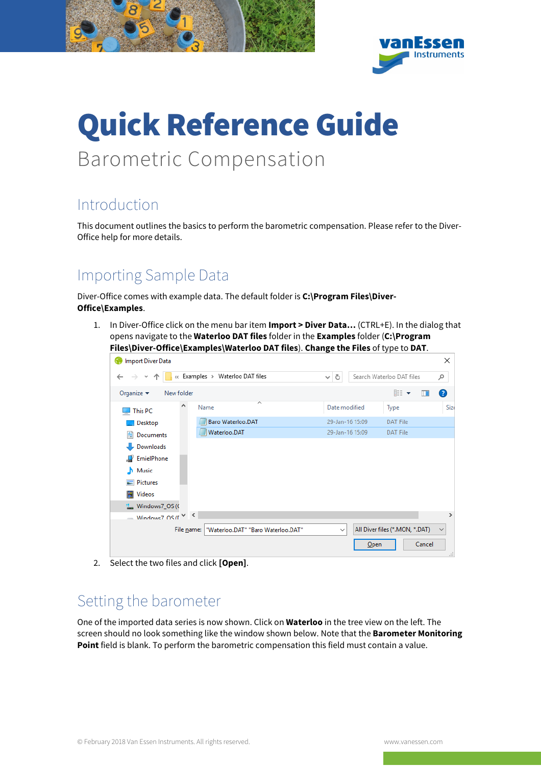

# Quick Reference Guide Barometric Compensation

# Introduction

This document outlines the basics to perform the barometric compensation. Please refer to the Diver-Office help for more details.

# Importing Sample Data

Diver-Office comes with example data. The default folder is **C:\Program Files\Diver-Office\Examples**.

1. In Diver-Office click on the menu bar item **Import > Diver Data…** (CTRL+E). In the dialog that opens navigate to the **Waterloo DAT files** folder in the **Examples** folder (**C:\Program Files\Diver-Office\Examples\Waterloo DAT files**). **Change the Files** of type to **DAT**.

|                                             |                                    | ັ               | ╯                              |               |
|---------------------------------------------|------------------------------------|-----------------|--------------------------------|---------------|
| <b>Import Diver Data</b>                    |                                    |                 |                                | ×             |
| $\leftarrow$                                | « Examples > Waterloo DAT files    | Ō<br>v          | Search Waterloo DAT files      | ۹             |
| Organize $\blacktriangledown$<br>New folder |                                    |                 | 睚 ▼<br>m                       | ◙             |
| $\blacksquare$ This PC                      | ᄉ<br>Name                          | Date modified   | Type                           | Size          |
| Desktop                                     | Baro Waterloo.DAT                  | 29-Jan-16 15:09 | <b>DAT File</b>                |               |
| 傽<br>Documents                              | Waterloo.DAT                       | 29-Jan-16 15:09 | DAT File                       |               |
| Downloads                                   |                                    |                 |                                |               |
| <b>F</b> EmielPhone                         |                                    |                 |                                |               |
| Music                                       |                                    |                 |                                |               |
| $\blacksquare$ Pictures                     |                                    |                 |                                |               |
| Videos                                      |                                    |                 |                                |               |
| " Windows7_OS (C                            |                                    |                 |                                |               |
| Windows7 OS ( $r \vee \sqrt{ }$             |                                    |                 |                                | $\rightarrow$ |
| File <u>n</u> ame:                          | "Waterloo.DAT" "Baro Waterloo.DAT" | $\checkmark$    | All Diver files (*.MON, *.DAT) | $\checkmark$  |
|                                             |                                    | Open            | Cancel                         | .ii           |

2. Select the two files and click **[Open]**.

#### Setting the barometer

One of the imported data series is now shown. Click on **Waterloo** in the tree view on the left. The screen should no look something like the window shown below. Note that the **Barometer Monitoring Point** field is blank. To perform the barometric compensation this field must contain a value.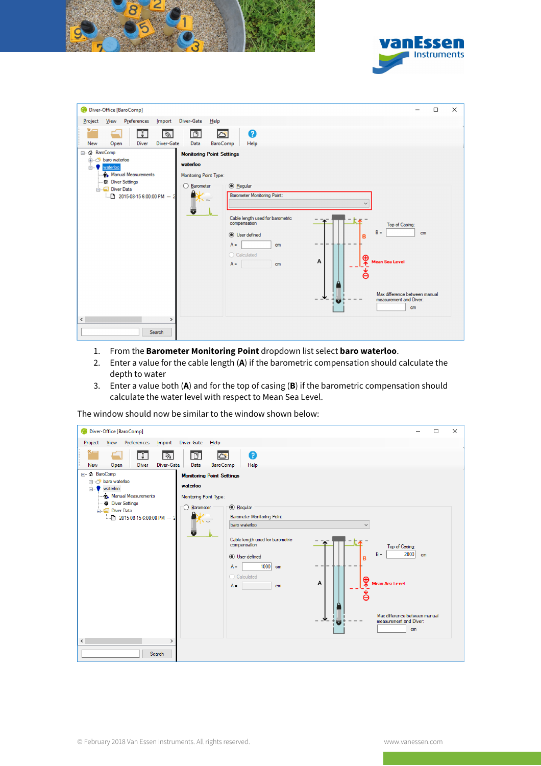



| Diver-Office [BaroComp]                                                 |                                                                                                                                                                                                                                                                                                                          |          | $\Box$ | $\times$ |
|-------------------------------------------------------------------------|--------------------------------------------------------------------------------------------------------------------------------------------------------------------------------------------------------------------------------------------------------------------------------------------------------------------------|----------|--------|----------|
| Project View Preferences<br>Import                                      | Diver-Gate<br>He                                                                                                                                                                                                                                                                                                         |          |        |          |
| T,<br>$\frac{1}{2}$<br>Diver-Gate<br><b>Diver</b><br><b>New</b><br>Open | 0<br>$\overline{D}$<br>B<br>BaroComp<br>Data<br>Help                                                                                                                                                                                                                                                                     |          |        |          |
| 日… △ BaroComp<br><b>baro</b> waterloo                                   | <b>Monitoring Point Settings</b>                                                                                                                                                                                                                                                                                         |          |        |          |
| waterloo<br><b>ė−V</b>                                                  | waterloo                                                                                                                                                                                                                                                                                                                 |          |        |          |
| <b>Au</b> Manual Measurements                                           | Monitoring Point Type:                                                                                                                                                                                                                                                                                                   |          |        |          |
| <b>Diver Settings</b><br>Diver Data                                     | <b>C</b> Regular<br>◯ Barometer                                                                                                                                                                                                                                                                                          |          |        |          |
| $-2015-08-156:00:00$ PM $-2$                                            | <b>Barometer Monitoring Point:</b><br>$m \times 7$<br>ᇴ<br>Cable length used for barometric<br>compensation<br>Top of Casing:<br>$B =$<br><b>O</b> User defined<br>B<br>$A =$<br>cm<br>Calculated<br>⊕<br>A<br><b>Mean Sea Level</b><br>$A =$<br>cm<br>ě<br>Max difference between manual<br>measurement and Diver:<br>ō | cm<br>cm |        |          |
| $\hat{}$<br>$\rightarrow$                                               |                                                                                                                                                                                                                                                                                                                          |          |        |          |
| Search                                                                  |                                                                                                                                                                                                                                                                                                                          |          |        |          |

- 1. From the **Barometer Monitoring Point** dropdown list select **baro waterloo**.
- 2. Enter a value for the cable length (**A**) if the barometric compensation should calculate the depth to water
- 3. Enter a value both (**A**) and for the top of casing (**B**) if the barometric compensation should calculate the water level with respect to Mean Sea Level.

The window should now be similar to the window shown below:

| Diver-Office [BaroComp]                                                                                                                                           | $\times$<br>□                                                                                                                                                                                                                                                                                                                                                                                                                                                                    |
|-------------------------------------------------------------------------------------------------------------------------------------------------------------------|----------------------------------------------------------------------------------------------------------------------------------------------------------------------------------------------------------------------------------------------------------------------------------------------------------------------------------------------------------------------------------------------------------------------------------------------------------------------------------|
| View Preferences<br>Project                                                                                                                                       | Import Diver-Gate Help                                                                                                                                                                                                                                                                                                                                                                                                                                                           |
| ⋇.<br>习<br>Diver-Gate<br><b>Diver</b><br><b>New</b><br>Open                                                                                                       | ❸<br>D.<br>ద<br>BaroComp<br>Help<br>Data                                                                                                                                                                                                                                                                                                                                                                                                                                         |
| ⊟… △ BaroComp<br>in & baro waterloo<br><b>E</b> waterloo<br><b>Au</b> Manual Measurements<br><b>Diver Settings</b><br>Diver Data<br>$1.2015-08-156:00:00$ PM $-2$ | <b>Monitoring Point Settings</b><br>waterloo<br>Monitoring Point Type:<br><sup>1</sup> Regular<br>◯ Barometer<br><b>Barometer Monitoring Point:</b><br>$m \neq 1$<br>baro waterloo<br>Ū<br>Cable length used for barometric<br>compensation<br>Top of Casing:<br>2000<br>$B =$<br>cm<br><b>O</b> User defined<br>$1000$ cm<br>$A =$<br>C Calculated<br>⊕<br>Α<br><b>Mean Sea Level</b><br>$A =$<br>cm<br>Ă<br>Max difference between manual<br>measurement and Diver:<br>U<br>cm |
| $\langle$<br>⋗<br>Search                                                                                                                                          |                                                                                                                                                                                                                                                                                                                                                                                                                                                                                  |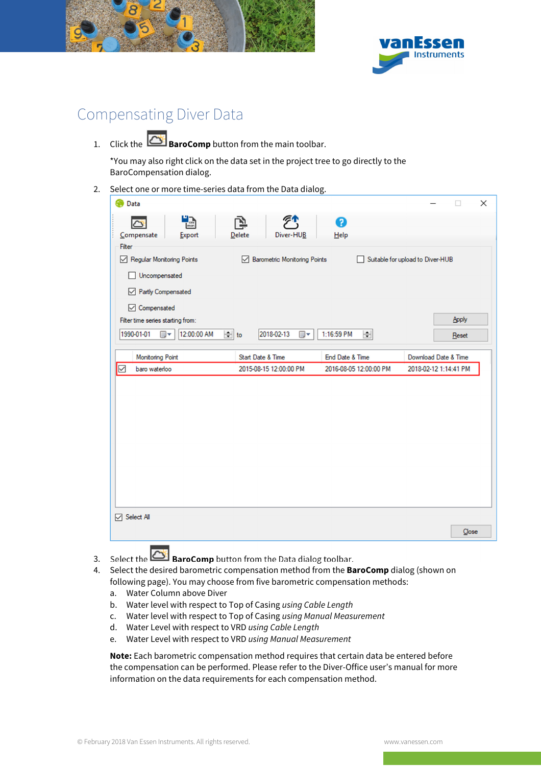



# Compensating Diver Data

1. Click the **BaroComp** button from the main toolbar.

\*You may also right click on the data set in the project tree to go directly to the BaroCompensation dialog.

2. Select one or more time-series data from the Data dialog.

| Data                                |                               |                        | ×                                |
|-------------------------------------|-------------------------------|------------------------|----------------------------------|
| $\frac{1}{\frac{1}{2}}$<br>b        |                               | Ø                      |                                  |
| Compensate<br>Export                | Delete<br>Diver-HUB           | Help                   |                                  |
| Filter<br>Regular Monitoring Points | Barometric Monitoring Points  |                        | Suitable for upload to Diver-HUB |
| Uncompensated                       |                               |                        |                                  |
| Partly Compensated                  |                               |                        |                                  |
| <b>○</b> Compensated                |                               |                        |                                  |
| Filter time series starting from:   |                               |                        | Apply                            |
| 1990-01-01<br>12:00:00 AM<br>⊞▼     | $\div$ to<br>2018-02-13<br>▦▾ | 1:16:59 PM<br>$\div$   | Reset                            |
| <b>Monitoring Point</b>             | Start Date & Time             | End Date & Time        | Download Date & Time             |
| ☑<br>baro waterloo                  | 2015-08-15 12:00:00 PM        | 2016-08-05 12:00:00 PM | 2018-02-12 1:14:41 PM            |
|                                     |                               |                        |                                  |
|                                     |                               |                        |                                  |
|                                     |                               |                        |                                  |
|                                     |                               |                        |                                  |
|                                     |                               |                        |                                  |
|                                     |                               |                        |                                  |
|                                     |                               |                        |                                  |
|                                     |                               |                        |                                  |
|                                     |                               |                        |                                  |
| <b>▽ Select All</b>                 |                               |                        |                                  |
|                                     |                               |                        | Close                            |

- 3. Select the **BaroComp** button from the Data dialog toolbar.
- 4. Select the desired barometric compensation method from the **BaroComp** dialog (shown on following page). You may choose from five barometric compensation methods:
	- a. Water Column above Diver
	- b. Water level with respect to Top of Casing using Cable Length
	- c. Water level with respect to Top of Casing using Manual Measurement
	- d. Water Level with respect to VRD using Cable Length
	- e. Water Level with respect to VRD using Manual Measurement

**Note:** Each barometric compensation method requires that certain data be entered before the compensation can be performed. Please refer to the Diver-Office user's manual for more information on the data requirements for each compensation method.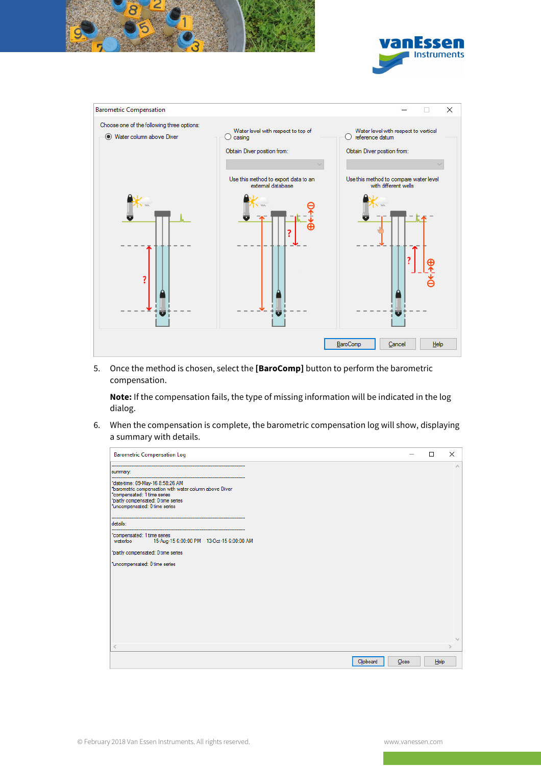





5. Once the method is chosen, select the **[BaroComp]** button to perform the barometric compensation.

**Note:** If the compensation fails, the type of missing information will be indicated in the log dialog.

6. When the compensation is complete, the barometric compensation log will show, displaying a summary with details.

| <b>Barometric Compensation Log</b>                                                                                                                                                              |                    | □    | $\times$        |
|-------------------------------------------------------------------------------------------------------------------------------------------------------------------------------------------------|--------------------|------|-----------------|
| summary:                                                                                                                                                                                        |                    |      | $\mathcal{O}_2$ |
| *date-time: 09-May-16 8:58:26 AM<br>"barometric compensation with water column above Diver<br>compensated: 1 time series<br>"partly compensated: 0 time series<br>funcompensated: 0 time series |                    |      |                 |
| details:                                                                                                                                                                                        |                    |      |                 |
| *compensated: 1 time series<br>15-Aug-15 6:00:00 PM 13-Oct-15 6:00:00 AM<br>waterloo                                                                                                            |                    |      |                 |
| "partly compensated: 0 time series                                                                                                                                                              |                    |      |                 |
| *uncompensated: 0 time series                                                                                                                                                                   |                    |      |                 |
|                                                                                                                                                                                                 |                    |      |                 |
|                                                                                                                                                                                                 |                    |      |                 |
|                                                                                                                                                                                                 |                    |      |                 |
|                                                                                                                                                                                                 |                    |      |                 |
|                                                                                                                                                                                                 |                    |      |                 |
|                                                                                                                                                                                                 |                    |      | $\mathcal{Q}$   |
| $\,<\,$                                                                                                                                                                                         |                    |      | S.              |
|                                                                                                                                                                                                 | Clipboard<br>Close | Help |                 |